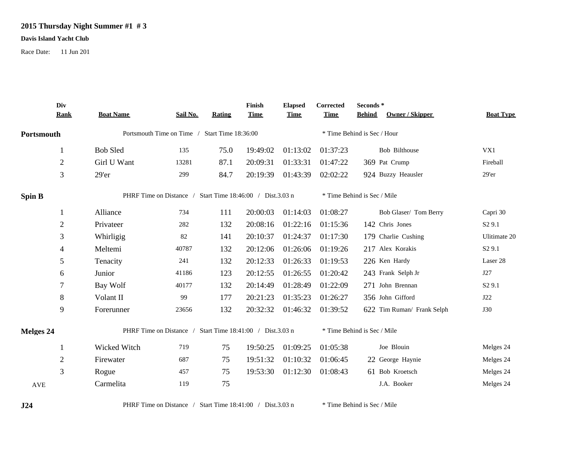## **2015 Thursday Night Summer #1 # 3**

## **Davis Island Yacht Club**

Race Date: 11 Jun 201

|                  | Div                                                       |                                                           |          |        | Finish                      | <b>Elapsed</b> | Corrected                   | Seconds *                        |                    |  |
|------------------|-----------------------------------------------------------|-----------------------------------------------------------|----------|--------|-----------------------------|----------------|-----------------------------|----------------------------------|--------------------|--|
|                  | <b>Rank</b>                                               | <b>Boat Name</b>                                          | Sail No. | Rating | <b>Time</b>                 | <b>Time</b>    | <b>Time</b>                 | Owner / Skipper<br><b>Behind</b> | <b>Boat Type</b>   |  |
| Portsmouth       |                                                           | Portsmouth Time on Time / Start Time 18:36:00             |          |        | * Time Behind is Sec / Hour |                |                             |                                  |                    |  |
|                  |                                                           | <b>Bob Sled</b>                                           | 135      | 75.0   | 19:49:02                    | 01:13:02       | 01:37:23                    | Bob Bilthouse                    | VX1                |  |
|                  | $\overline{2}$                                            | Girl U Want                                               | 13281    | 87.1   | 20:09:31                    | 01:33:31       | 01:47:22                    | 369 Pat Crump                    | Fireball           |  |
|                  | $\mathfrak{Z}$                                            | 29'er                                                     | 299      | 84.7   | 20:19:39                    | 01:43:39       | 02:02:22                    | 924 Buzzy Heausler               | 29'er              |  |
| <b>Spin B</b>    | PHRF Time on Distance / Start Time 18:46:00 / Dist.3.03 n |                                                           |          |        | * Time Behind is Sec / Mile |                |                             |                                  |                    |  |
|                  |                                                           | Alliance                                                  | 734      | 111    | 20:00:03                    | 01:14:03       | 01:08:27                    | Bob Glaser/ Tom Berry            | Capri 30           |  |
|                  | 2                                                         | Privateer                                                 | 282      | 132    | 20:08:16                    | 01:22:16       | 01:15:36                    | 142 Chris Jones                  | S <sub>2</sub> 9.1 |  |
|                  | 3                                                         | Whirligig                                                 | 82       | 141    | 20:10:37                    | 01:24:37       | 01:17:30                    | 179 Charlie Cushing              | Ulitimate 20       |  |
|                  | 4                                                         | Meltemi                                                   | 40787    | 132    | 20:12:06                    | 01:26:06       | 01:19:26                    | 217 Alex Korakis                 | S <sub>2</sub> 9.1 |  |
|                  | 5                                                         | Tenacity                                                  | 241      | 132    | 20:12:33                    | 01:26:33       | 01:19:53                    | 226 Ken Hardy                    | Laser 28           |  |
|                  | 6                                                         | Junior                                                    | 41186    | 123    | 20:12:55                    | 01:26:55       | 01:20:42                    | 243 Frank Selph Jr               | J27                |  |
|                  | 7                                                         | Bay Wolf                                                  | 40177    | 132    | 20:14:49                    | 01:28:49       | 01:22:09                    | 271 John Brennan                 | S <sub>2</sub> 9.1 |  |
|                  | 8                                                         | Volant II                                                 | 99       | 177    | 20:21:23                    | 01:35:23       | 01:26:27                    | 356 John Gifford                 | J22                |  |
|                  | 9                                                         | Forerunner                                                | 23656    | 132    | 20:32:32                    | 01:46:32       | 01:39:52                    | 622 Tim Ruman/ Frank Selph       | <b>J30</b>         |  |
| <b>Melges 24</b> |                                                           | PHRF Time on Distance / Start Time 18:41:00 / Dist.3.03 n |          |        |                             |                | * Time Behind is Sec / Mile |                                  |                    |  |
|                  |                                                           | Wicked Witch                                              | 719      | 75     | 19:50:25                    | 01:09:25       | 01:05:38                    | Joe Blouin                       | Melges 24          |  |
|                  | $\overline{2}$                                            | Firewater                                                 | 687      | 75     | 19:51:32                    | 01:10:32       | 01:06:45                    | 22 George Haynie                 | Melges 24          |  |
|                  | 3                                                         | Rogue                                                     | 457      | 75     | 19:53:30                    | 01:12:30       | 01:08:43                    | 61 Bob Kroetsch                  | Melges 24          |  |
| <b>AVE</b>       |                                                           | Carmelita                                                 | 119      | 75     |                             |                |                             | J.A. Booker                      | Melges 24          |  |

**J24** PHRF Time on Distance / Start Time 18:41:00 / Dist.3.03 n \* Time Behind is Sec / Mile